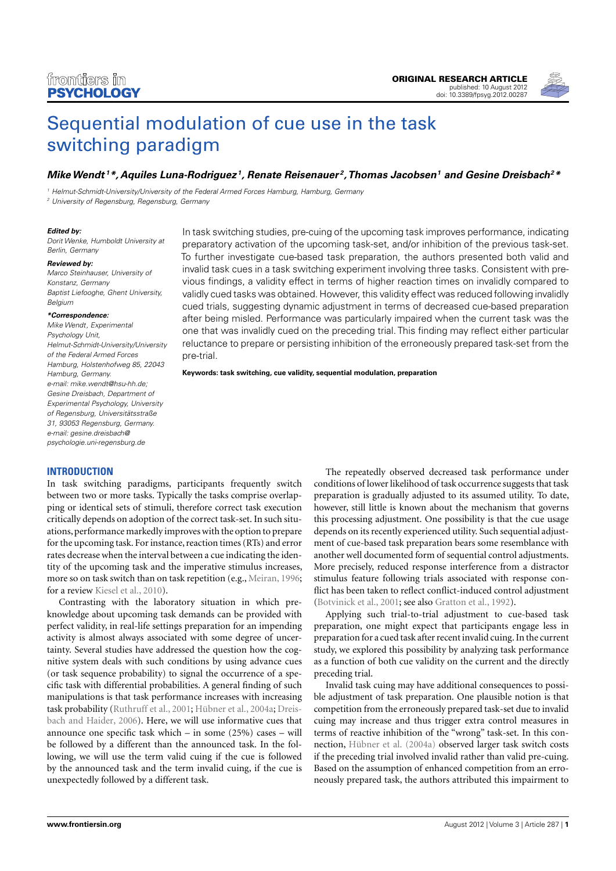

# [Sequential modulation of cue use in the task](http://www.frontiersin.org/Cognition/10.3389/fpsyg.2012.00287/abstract) [switching paradigm](http://www.frontiersin.org/Cognition/10.3389/fpsyg.2012.00287/abstract)

# **[MikeWendt](http://www.frontiersin.org/Community/WhosWhoActivity.aspx?sname=MikeWendt&UID=10534) <sup>1</sup>\*, Aquiles Luna-Rodriguez <sup>1</sup> , Renate Reisenauer <sup>2</sup> ,[Thomas Jacobsen](http://www.frontiersin.org/Community/WhosWhoActivity.aspx?sname=ThomasJacobsen&UID=18455)<sup>1</sup> and [Gesine Dreisbach](http://www.frontiersin.org/Community/WhosWhoActivity.aspx?sname=GesineDreisbach_1&UID=11200)<sup>2</sup>\***

<sup>1</sup> Helmut-Schmidt-University/University of the Federal Armed Forces Hamburg, Hamburg, Germany <sup>2</sup> University of Regensburg, Regensburg, Germany

#### **Edited by:**

Dorit Wenke, Humboldt University at Berlin, Germany

#### **Reviewed by:**

Marco Steinhauser, University of Konstanz, Germany Baptist Liefooghe, Ghent University, Belgium

#### **\*Correspondence:**

Mike Wendt, Experimental Psychology Unit, Helmut-Schmidt-University/University of the Federal Armed Forces Hamburg, Holstenhofweg 85, 22043 Hamburg, Germany. e-mail: [mike.wendt@hsu-hh.de;](mailto:mike.wendt@hsu-hh.de) Gesine Dreisbach, Department of Experimental Psychology, University of Regensburg, Universitätsstraße 31, 93053 Regensburg, Germany. e-mail: [gesine.dreisbach@](mailto:gesine.dreisbach@{\penalty -\@M }psychologie.uni-regensburg.de) [psychologie.uni-regensburg.de](mailto:gesine.dreisbach@{\penalty -\@M }psychologie.uni-regensburg.de)

In task switching studies, pre-cuing of the upcoming task improves performance, indicating preparatory activation of the upcoming task-set, and/or inhibition of the previous task-set. To further investigate cue-based task preparation, the authors presented both valid and invalid task cues in a task switching experiment involving three tasks. Consistent with previous findings, a validity effect in terms of higher reaction times on invalidly compared to validly cued tasks was obtained. However, this validity effect was reduced following invalidly cued trials, suggesting dynamic adjustment in terms of decreased cue-based preparation after being misled. Performance was particularly impaired when the current task was the one that was invalidly cued on the preceding trial. This finding may reflect either particular reluctance to prepare or persisting inhibition of the erroneously prepared task-set from the pre-trial.

**Keywords: task switching, cue validity, sequential modulation, preparation**

# **INTRODUCTION**

In task switching paradigms, participants frequently switch between two or more tasks. Typically the tasks comprise overlapping or identical sets of stimuli, therefore correct task execution critically depends on adoption of the correct task-set. In such situations, performance markedly improves with the option to prepare for the upcoming task. For instance, reaction times (RTs) and error rates decrease when the interval between a cue indicating the identity of the upcoming task and the imperative stimulus increases, more so on task switch than on task repetition (e.g., [Meiran, 1996;](#page-5-0) for a review [Kiesel et al., 2010\)](#page-4-0).

Contrasting with the laboratory situation in which preknowledge about upcoming task demands can be provided with perfect validity, in real-life settings preparation for an impending activity is almost always associated with some degree of uncertainty. Several studies have addressed the question how the cognitive system deals with such conditions by using advance cues (or task sequence probability) to signal the occurrence of a specific task with differential probabilities. A general finding of such manipulations is that task performance increases with increasing task probability [\(Ruthruff et al., 2001;](#page-5-1) [Hübner et al., 2004a;](#page-4-1) [Dreis](#page-4-2)[bach and Haider, 2006\)](#page-4-2). Here, we will use informative cues that announce one specific task which – in some (25%) cases – will be followed by a different than the announced task. In the following, we will use the term valid cuing if the cue is followed by the announced task and the term invalid cuing, if the cue is unexpectedly followed by a different task.

The repeatedly observed decreased task performance under conditions of lower likelihood of task occurrence suggests that task preparation is gradually adjusted to its assumed utility. To date, however, still little is known about the mechanism that governs this processing adjustment. One possibility is that the cue usage depends on its recently experienced utility. Such sequential adjustment of cue-based task preparation bears some resemblance with another well documented form of sequential control adjustments. More precisely, reduced response interference from a distractor stimulus feature following trials associated with response conflict has been taken to reflect conflict-induced control adjustment [\(Botvinick et al., 2001;](#page-4-3) see also [Gratton et al., 1992\)](#page-4-4).

Applying such trial-to-trial adjustment to cue-based task preparation, one might expect that participants engage less in preparation for a cued task after recent invalid cuing. In the current study, we explored this possibility by analyzing task performance as a function of both cue validity on the current and the directly preceding trial.

Invalid task cuing may have additional consequences to possible adjustment of task preparation. One plausible notion is that competition from the erroneously prepared task-set due to invalid cuing may increase and thus trigger extra control measures in terms of reactive inhibition of the "wrong" task-set. In this connection, [Hübner et al.](#page-4-1) [\(2004a\)](#page-4-1) observed larger task switch costs if the preceding trial involved invalid rather than valid pre-cuing. Based on the assumption of enhanced competition from an erroneously prepared task, the authors attributed this impairment to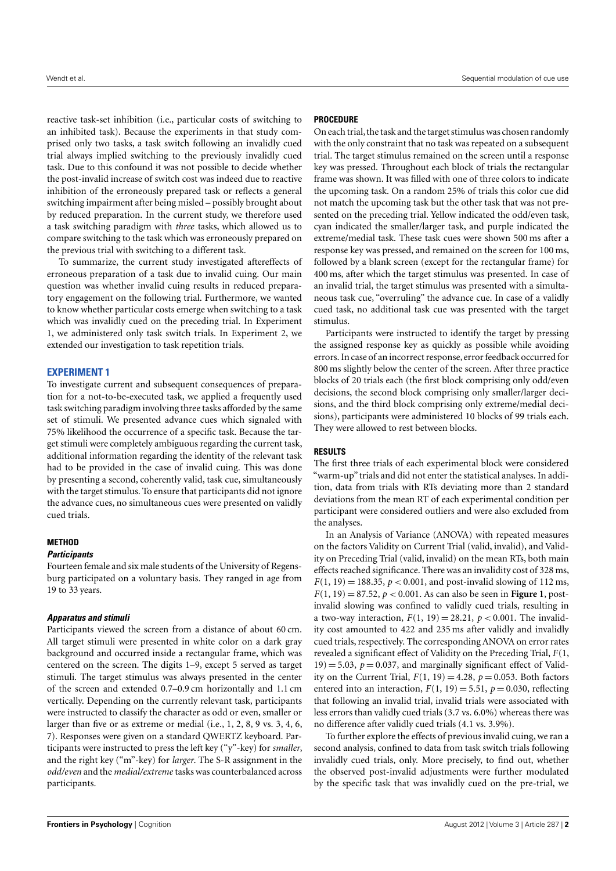reactive task-set inhibition (i.e., particular costs of switching to an inhibited task). Because the experiments in that study comprised only two tasks, a task switch following an invalidly cued trial always implied switching to the previously invalidly cued task. Due to this confound it was not possible to decide whether the post-invalid increase of switch cost was indeed due to reactive inhibition of the erroneously prepared task or reflects a general switching impairment after being misled – possibly brought about by reduced preparation. In the current study, we therefore used a task switching paradigm with *three* tasks, which allowed us to compare switching to the task which was erroneously prepared on the previous trial with switching to a different task.

To summarize, the current study investigated aftereffects of erroneous preparation of a task due to invalid cuing. Our main question was whether invalid cuing results in reduced preparatory engagement on the following trial. Furthermore, we wanted to know whether particular costs emerge when switching to a task which was invalidly cued on the preceding trial. In Experiment 1, we administered only task switch trials. In Experiment 2, we extended our investigation to task repetition trials.

# **EXPERIMENT 1**

To investigate current and subsequent consequences of preparation for a not-to-be-executed task, we applied a frequently used task switching paradigm involving three tasks afforded by the same set of stimuli. We presented advance cues which signaled with 75% likelihood the occurrence of a specific task. Because the target stimuli were completely ambiguous regarding the current task, additional information regarding the identity of the relevant task had to be provided in the case of invalid cuing. This was done by presenting a second, coherently valid, task cue, simultaneously with the target stimulus. To ensure that participants did not ignore the advance cues, no simultaneous cues were presented on validly cued trials.

# **METHOD**

#### **Participants**

Fourteen female and six male students of the University of Regensburg participated on a voluntary basis. They ranged in age from 19 to 33 years.

# **Apparatus and stimuli**

Participants viewed the screen from a distance of about 60 cm. All target stimuli were presented in white color on a dark gray background and occurred inside a rectangular frame, which was centered on the screen. The digits 1–9, except 5 served as target stimuli. The target stimulus was always presented in the center of the screen and extended 0.7–0.9 cm horizontally and 1.1 cm vertically. Depending on the currently relevant task, participants were instructed to classify the character as odd or even, smaller or larger than five or as extreme or medial (i.e., 1, 2, 8, 9 vs. 3, 4, 6, 7). Responses were given on a standard QWERTZ keyboard. Participants were instructed to press the left key ("y"-key) for *smaller*, and the right key ("m"-key) for *larger*. The S-R assignment in the *odd/even* and the *medial/extreme* tasks was counterbalanced across participants.

# **PROCEDURE**

On each trial, the task and the target stimulus was chosen randomly with the only constraint that no task was repeated on a subsequent trial. The target stimulus remained on the screen until a response key was pressed. Throughout each block of trials the rectangular frame was shown. It was filled with one of three colors to indicate the upcoming task. On a random 25% of trials this color cue did not match the upcoming task but the other task that was not presented on the preceding trial. Yellow indicated the odd/even task, cyan indicated the smaller/larger task, and purple indicated the extreme/medial task. These task cues were shown 500 ms after a response key was pressed, and remained on the screen for 100 ms, followed by a blank screen (except for the rectangular frame) for 400 ms, after which the target stimulus was presented. In case of an invalid trial, the target stimulus was presented with a simultaneous task cue, "overruling" the advance cue. In case of a validly cued task, no additional task cue was presented with the target stimulus.

Participants were instructed to identify the target by pressing the assigned response key as quickly as possible while avoiding errors. In case of an incorrect response, error feedback occurred for 800 ms slightly below the center of the screen. After three practice blocks of 20 trials each (the first block comprising only odd/even decisions, the second block comprising only smaller/larger decisions, and the third block comprising only extreme/medial decisions), participants were administered 10 blocks of 99 trials each. They were allowed to rest between blocks.

# **RESULTS**

The first three trials of each experimental block were considered "warm-up" trials and did not enter the statistical analyses. In addition, data from trials with RTs deviating more than 2 standard deviations from the mean RT of each experimental condition per participant were considered outliers and were also excluded from the analyses.

In an Analysis of Variance (ANOVA) with repeated measures on the factors Validity on Current Trial (valid, invalid), and Validity on Preceding Trial (valid, invalid) on the mean RTs, both main effects reached significance. There was an invalidity cost of 328 ms,  $F(1, 19) = 188.35, p < 0.001$ , and post-invalid slowing of 112 ms,  $F(1, 19) = 87.52, p < 0.001$ . As can also be seen in **[Figure 1](#page-2-0)**, postinvalid slowing was confined to validly cued trials, resulting in a two-way interaction,  $F(1, 19) = 28.21$ ,  $p < 0.001$ . The invalidity cost amounted to 422 and 235 ms after validly and invalidly cued trials, respectively. The corresponding ANOVA on error rates revealed a significant effect of Validity on the Preceding Trial, *F*(1,  $19$  = 5.03,  $p = 0.037$ , and marginally significant effect of Validity on the Current Trial,  $F(1, 19) = 4.28$ ,  $p = 0.053$ . Both factors entered into an interaction,  $F(1, 19) = 5.51$ ,  $p = 0.030$ , reflecting that following an invalid trial, invalid trials were associated with less errors than validly cued trials (3.7 vs. 6.0%) whereas there was no difference after validly cued trials (4.1 vs. 3.9%).

To further explore the effects of previous invalid cuing, we ran a second analysis, confined to data from task switch trials following invalidly cued trials, only. More precisely, to find out, whether the observed post-invalid adjustments were further modulated by the specific task that was invalidly cued on the pre-trial, we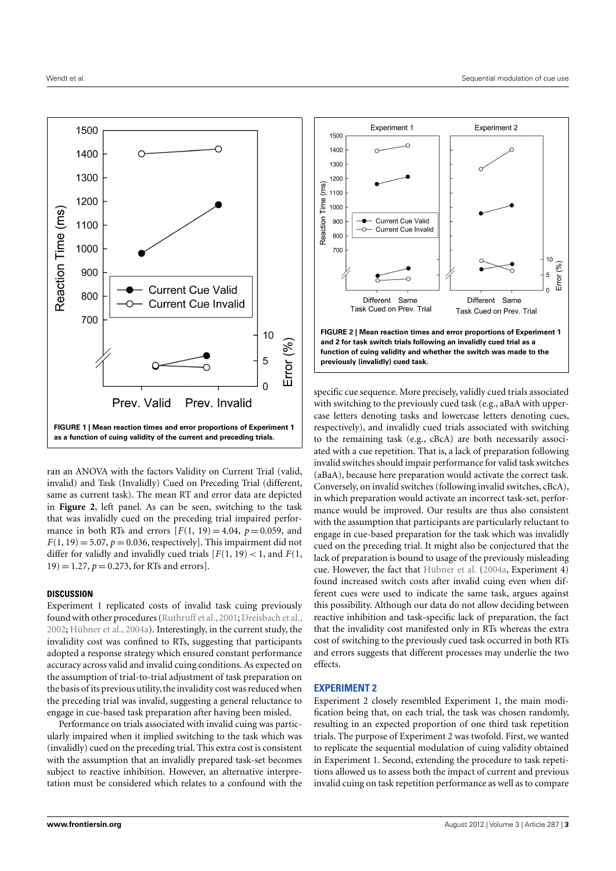

<span id="page-2-0"></span>ran an ANOVA with the factors Validity on Current Trial (valid, invalid) and Task (Invalidly) Cued on Preceding Trial (different, same as current task). The mean RT and error data are depicted in **[Figure 2](#page-2-1)**, left panel. As can be seen, switching to the task that was invalidly cued on the preceding trial impaired performance in both RTs and errors  $F(1, 19) = 4.04$ ,  $p = 0.059$ , and  $F(1, 19) = 5.07$ ,  $p = 0.036$ , respectively]. This impairment did not differ for validly and invalidly cued trials  $[F(1, 19) < 1$ , and  $F(1, 19)$  $19$ ) = 1.27,  $p = 0.273$ , for RTs and errors].

#### **DISCUSSION**

Experiment 1 replicated costs of invalid task cuing previously found with other procedures (Ruthruff et al., 2001; [Dreisbach et al.,](#page-4-5) [2002;](#page-4-5) [Hübner et al.,](#page-4-1) [2004a\)](#page-4-1). Interestingly, in the current study, the invalidity cost was confined to RTs, suggesting that participants adopted a response strategy which ensured constant performance accuracy across valid and invalid cuing conditions. As expected on the assumption of trial-to-trial adjustment of task preparation on the basis of its previous utility, the invalidity cost was reduced when the preceding trial was invalid, suggesting a general reluctance to engage in cue-based task preparation after having been misled.

Performance on trials associated with invalid cuing was particularly impaired when it implied switching to the task which was (invalidly) cued on the preceding trial. This extra cost is consistent with the assumption that an invalidly prepared task-set becomes subject to reactive inhibition. However, an alternative interpretation must be considered which relates to a confound with the



<span id="page-2-1"></span>specific cue sequence. More precisely, validly cued trials associated with switching to the previously cued task (e.g., aBaA with uppercase letters denoting tasks and lowercase letters denoting cues, respectively), and invalidly cued trials associated with switching to the remaining task (e.g., cBcA) are both necessarily associated with a cue repetition. That is, a lack of preparation following invalid switches should impair performance for valid task switches (aBaA), because here preparation would activate the correct task. Conversely, on invalid switches (following invalid switches, cBcA), in which preparation would activate an incorrect task-set, performance would be improved. Our results are thus also consistent with the assumption that participants are particularly reluctant to engage in cue-based preparation for the task which was invalidly cued on the preceding trial. It might also be conjectured that the lack of preparation is bound to usage of the previously misleading cue. However, the fact that [Hübner et al.](#page-4-1) [\(2004a,](#page-4-1) Experiment 4) found increased switch costs after invalid cuing even when different cues were used to indicate the same task, argues against this possibility. Although our data do not allow deciding between reactive inhibition and task-specific lack of preparation, the fact that the invalidity cost manifested only in RTs whereas the extra cost of switching to the previously cued task occurred in both RTs and errors suggests that different processes may underlie the two effects.

# **EXPERIMENT 2**

Experiment 2 closely resembled Experiment 1, the main modification being that, on each trial, the task was chosen randomly, resulting in an expected proportion of one third task repetition trials. The purpose of Experiment 2 was twofold. First, we wanted to replicate the sequential modulation of cuing validity obtained in Experiment 1. Second, extending the procedure to task repetitions allowed us to assess both the impact of current and previous invalid cuing on task repetition performance as well as to compare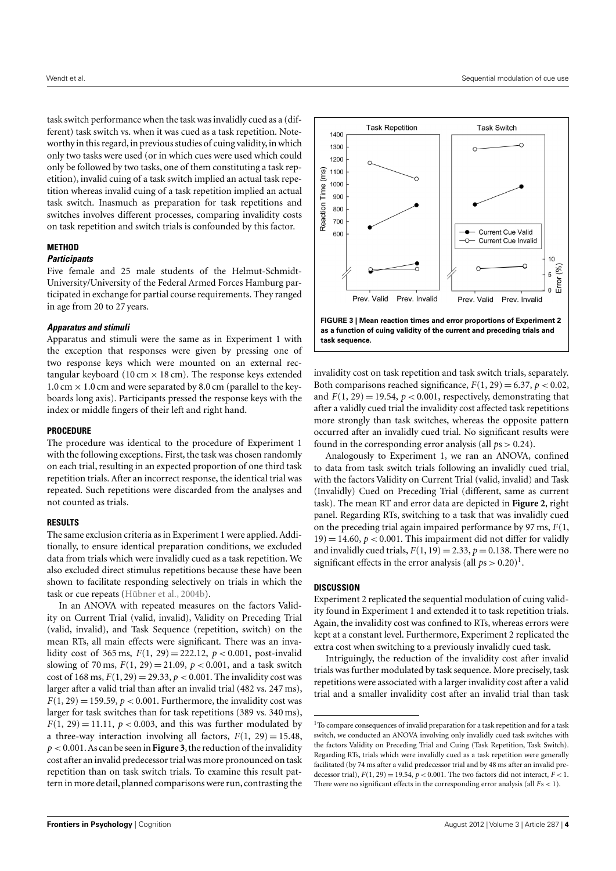task switch performance when the task was invalidly cued as a (different) task switch vs. when it was cued as a task repetition. Noteworthy in this regard, in previous studies of cuing validity, in which only two tasks were used (or in which cues were used which could only be followed by two tasks, one of them constituting a task repetition), invalid cuing of a task switch implied an actual task repetition whereas invalid cuing of a task repetition implied an actual task switch. Inasmuch as preparation for task repetitions and switches involves different processes, comparing invalidity costs on task repetition and switch trials is confounded by this factor.

#### **METHOD**

# **Participants**

Five female and 25 male students of the Helmut-Schmidt-University/University of the Federal Armed Forces Hamburg participated in exchange for partial course requirements. They ranged in age from 20 to 27 years.

# **Apparatus and stimuli**

Apparatus and stimuli were the same as in Experiment 1 with the exception that responses were given by pressing one of two response keys which were mounted on an external rectangular keyboard (10 cm  $\times$  18 cm). The response keys extended 1.0 cm  $\times$  1.0 cm and were separated by 8.0 cm (parallel to the keyboards long axis). Participants pressed the response keys with the index or middle fingers of their left and right hand.

#### **PROCEDURE**

The procedure was identical to the procedure of Experiment 1 with the following exceptions. First, the task was chosen randomly on each trial, resulting in an expected proportion of one third task repetition trials. After an incorrect response, the identical trial was repeated. Such repetitions were discarded from the analyses and not counted as trials.

#### **RESULTS**

The same exclusion criteria as in Experiment 1 were applied. Additionally, to ensure identical preparation conditions, we excluded data from trials which were invalidly cued as a task repetition. We also excluded direct stimulus repetitions because these have been shown to facilitate responding selectively on trials in which the task or cue repeats [\(Hübner et al.,](#page-4-6) [2004b\)](#page-4-6).

In an ANOVA with repeated measures on the factors Validity on Current Trial (valid, invalid), Validity on Preceding Trial (valid, invalid), and Task Sequence (repetition, switch) on the mean RTs, all main effects were significant. There was an invalidity cost of 365 ms,  $F(1, 29) = 222.12$ ,  $p < 0.001$ , post-invalid slowing of 70 ms,  $F(1, 29) = 21.09$ ,  $p < 0.001$ , and a task switch cost of 168 ms,  $F(1, 29) = 29.33$ ,  $p < 0.001$ . The invalidity cost was larger after a valid trial than after an invalid trial (482 vs. 247 ms),  $F(1, 29) = 159.59$ ,  $p < 0.001$ . Furthermore, the invalidity cost was larger for task switches than for task repetitions (389 vs. 340 ms),  $F(1, 29) = 11.11$ ,  $p < 0.003$ , and this was further modulated by a three-way interaction involving all factors,  $F(1, 29) = 15.48$ ,  $p < 0.001$ . As can be seen in **[Figure 3](#page-3-0)**, the reduction of the invalidity cost after an invalid predecessor trial was more pronounced on task repetition than on task switch trials. To examine this result pattern in more detail, planned comparisons were run, contrasting the



<span id="page-3-0"></span>invalidity cost on task repetition and task switch trials, separately. Both comparisons reached significance,  $F(1, 29) = 6.37$ ,  $p < 0.02$ , and  $F(1, 29) = 19.54$ ,  $p < 0.001$ , respectively, demonstrating that after a validly cued trial the invalidity cost affected task repetitions more strongly than task switches, whereas the opposite pattern occurred after an invalidly cued trial. No significant results were found in the corresponding error analysis (all *p*s > 0.24).

Analogously to Experiment 1, we ran an ANOVA, confined to data from task switch trials following an invalidly cued trial, with the factors Validity on Current Trial (valid, invalid) and Task (Invalidly) Cued on Preceding Trial (different, same as current task). The mean RT and error data are depicted in **[Figure 2](#page-2-1)**, right panel. Regarding RTs, switching to a task that was invalidly cued on the preceding trial again impaired performance by 97 ms, *F*(1,  $19$ ) = 14.60,  $p < 0.001$ . This impairment did not differ for validly and invalidly cued trials,  $F(1, 19) = 2.33$ ,  $p = 0.138$ . There were no significant effects in the error analysis (all  $ps > 0.20$ )<sup>[1](#page-3-1)</sup>.

#### **DISCUSSION**

Experiment 2 replicated the sequential modulation of cuing validity found in Experiment 1 and extended it to task repetition trials. Again, the invalidity cost was confined to RTs, whereas errors were kept at a constant level. Furthermore, Experiment 2 replicated the extra cost when switching to a previously invalidly cued task.

Intriguingly, the reduction of the invalidity cost after invalid trials was further modulated by task sequence. More precisely, task repetitions were associated with a larger invalidity cost after a valid trial and a smaller invalidity cost after an invalid trial than task

<span id="page-3-1"></span><sup>1</sup>To compare consequences of invalid preparation for a task repetition and for a task switch, we conducted an ANOVA involving only invalidly cued task switches with the factors Validity on Preceding Trial and Cuing (Task Repetition, Task Switch). Regarding RTs, trials which were invalidly cued as a task repetition were generally facilitated (by 74 ms after a valid predecessor trial and by 48 ms after an invalid predecessor trial),  $F(1, 29) = 19.54$ ,  $p < 0.001$ . The two factors did not interact,  $F < 1$ . There were no significant effects in the corresponding error analysis (all *F*s < 1).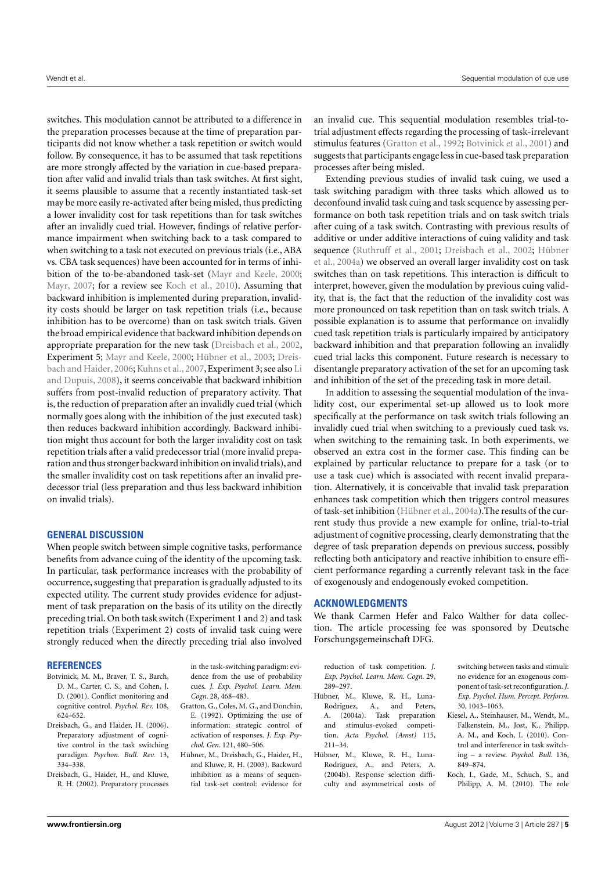switches. This modulation cannot be attributed to a difference in the preparation processes because at the time of preparation participants did not know whether a task repetition or switch would follow. By consequence, it has to be assumed that task repetitions are more strongly affected by the variation in cue-based preparation after valid and invalid trials than task switches. At first sight, it seems plausible to assume that a recently instantiated task-set may be more easily re-activated after being misled, thus predicting a lower invalidity cost for task repetitions than for task switches after an invalidly cued trial. However, findings of relative performance impairment when switching back to a task compared to when switching to a task not executed on previous trials (i.e., ABA vs. CBA task sequences) have been accounted for in terms of inhibition of the to-be-abandoned task-set [\(Mayr and Keele,](#page-5-2) [2000;](#page-5-2) [Mayr,](#page-5-3) [2007;](#page-5-3) for a review see [Koch et al.,](#page-4-7) [2010\)](#page-4-7). Assuming that backward inhibition is implemented during preparation, invalidity costs should be larger on task repetition trials (i.e., because inhibition has to be overcome) than on task switch trials. Given the broad empirical evidence that backward inhibition depends on appropriate preparation for the new task [\(Dreisbach et al.,](#page-4-5) [2002,](#page-4-5) Experiment 5; [Mayr and Keele,](#page-5-2) [2000;](#page-5-2) [Hübner et al.,](#page-4-8) [2003;](#page-4-8) [Dreis](#page-4-2)[bach and Haider,](#page-4-2) [2006;](#page-4-2) [Kuhns et al.,](#page-5-4) [2007,](#page-5-4) Experiment 3; see also [Li](#page-5-5) [and Dupuis,](#page-5-5) [2008\)](#page-5-5), it seems conceivable that backward inhibition suffers from post-invalid reduction of preparatory activity. That is, the reduction of preparation after an invalidly cued trial (which normally goes along with the inhibition of the just executed task) then reduces backward inhibition accordingly. Backward inhibition might thus account for both the larger invalidity cost on task repetition trials after a valid predecessor trial (more invalid preparation and thus stronger backward inhibition on invalid trials), and the smaller invalidity cost on task repetitions after an invalid predecessor trial (less preparation and thus less backward inhibition on invalid trials).

# **GENERAL DISCUSSION**

When people switch between simple cognitive tasks, performance benefits from advance cuing of the identity of the upcoming task. In particular, task performance increases with the probability of occurrence, suggesting that preparation is gradually adjusted to its expected utility. The current study provides evidence for adjustment of task preparation on the basis of its utility on the directly preceding trial. On both task switch (Experiment 1 and 2) and task repetition trials (Experiment 2) costs of invalid task cuing were strongly reduced when the directly preceding trial also involved

# **REFERENCES**

- <span id="page-4-3"></span>Botvinick, M. M., Braver, T. S., Barch, D. M., Carter, C. S., and Cohen, J. D. (2001). Conflict monitoring and cognitive control. *Psychol. Rev.* 108, 624–652.
- <span id="page-4-2"></span>Dreisbach, G., and Haider, H. (2006). Preparatory adjustment of cognitive control in the task switching paradigm. *Psychon. Bull. Rev.* 13, 334–338.
- <span id="page-4-5"></span>Dreisbach, G., Haider, H., and Kluwe, R. H. (2002). Preparatory processes

in the task-switching paradigm: evidence from the use of probability cues. *J. Exp. Psychol. Learn. Mem. Cogn.* 28, 468–483.

- <span id="page-4-4"></span>Gratton, G., Coles, M. G., and Donchin, E. (1992). Optimizing the use of information: strategic control of activation of responses. *J. Exp. Psychol. Gen.* 121, 480–506.
- <span id="page-4-8"></span>Hübner, M., Dreisbach, G., Haider, H., and Kluwe, R. H. (2003). Backward inhibition as a means of sequential task-set control: evidence for

an invalid cue. This sequential modulation resembles trial-totrial adjustment effects regarding the processing of task-irrelevant stimulus features [\(Gratton et al.,](#page-4-4) [1992;](#page-4-4) [Botvinick et al.,](#page-4-3) [2001\)](#page-4-3) and suggests that participants engage less in cue-based task preparation processes after being misled.

Extending previous studies of invalid task cuing, we used a task switching paradigm with three tasks which allowed us to deconfound invalid task cuing and task sequence by assessing performance on both task repetition trials and on task switch trials after cuing of a task switch. Contrasting with previous results of additive or under additive interactions of cuing validity and task sequence [\(Ruthruff et al.,](#page-5-1) [2001;](#page-5-1) [Dreisbach et al.,](#page-4-5) [2002;](#page-4-5) [Hübner](#page-4-1) [et al.,](#page-4-1) [2004a\)](#page-4-1) we observed an overall larger invalidity cost on task switches than on task repetitions. This interaction is difficult to interpret, however, given the modulation by previous cuing validity, that is, the fact that the reduction of the invalidity cost was more pronounced on task repetition than on task switch trials. A possible explanation is to assume that performance on invalidly cued task repetition trials is particularly impaired by anticipatory backward inhibition and that preparation following an invalidly cued trial lacks this component. Future research is necessary to disentangle preparatory activation of the set for an upcoming task and inhibition of the set of the preceding task in more detail.

In addition to assessing the sequential modulation of the invalidity cost, our experimental set-up allowed us to look more specifically at the performance on task switch trials following an invalidly cued trial when switching to a previously cued task vs. when switching to the remaining task. In both experiments, we observed an extra cost in the former case. This finding can be explained by particular reluctance to prepare for a task (or to use a task cue) which is associated with recent invalid preparation. Alternatively, it is conceivable that invalid task preparation enhances task competition which then triggers control measures of task-set inhibition [\(Hübner et al.,](#page-4-1) [2004a\)](#page-4-1).The results of the current study thus provide a new example for online, trial-to-trial adjustment of cognitive processing, clearly demonstrating that the degree of task preparation depends on previous success, possibly reflecting both anticipatory and reactive inhibition to ensure efficient performance regarding a currently relevant task in the face of exogenously and endogenously evoked competition.

# **ACKNOWLEDGMENTS**

We thank Carmen Hefer and Falco Walther for data collection. The article processing fee was sponsored by Deutsche Forschungsgemeinschaft DFG.

reduction of task competition. *J. Exp. Psychol. Learn. Mem. Cogn.* 29, 289–297.

- <span id="page-4-1"></span>Hübner, M., Kluwe, R. H., Luna-Rodriguez, A., and Peters, A. (2004a). Task preparation and stimulus-evoked competition. *Acta Psychol. (Amst)* 115, 211–34.
- <span id="page-4-6"></span>Hübner, M., Kluwe, R. H., Luna-Rodriguez, A., and Peters, A. (2004b). Response selection difficulty and asymmetrical costs of

switching between tasks and stimuli: no evidence for an exogenous component of task-set reconfiguration.*J. Exp. Psychol. Hum. Percept. Perform.* 30, 1043–1063.

- <span id="page-4-0"></span>Kiesel, A., Steinhauser, M., Wendt, M., Falkenstein, M., Jost, K., Philipp, A. M., and Koch, I. (2010). Control and interference in task switching – a review. *Psychol. Bull.* 136, 849–874.
- <span id="page-4-7"></span>Koch, I., Gade, M., Schuch, S., and Philipp, A. M. (2010). The role